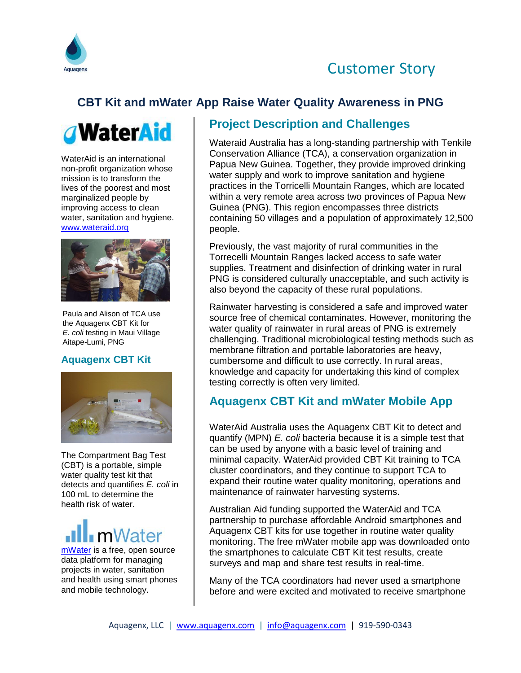



# **CBT Kit and mWater App Raise Water Quality Awareness in PNG**



WaterAid is an international non-profit organization whose mission is to transform the lives of the poorest and most marginalized people by improving access to clean water, sanitation and hygiene. [www.wateraid.org](file:///C:/Users/tim.davis/AppData/Local/Microsoft/Windows/Temporary%20Internet%20Files/Content.Outlook/GEOUM6V3/www.wateraid.org)



Paula and Alison of TCA use the Aquagenx CBT Kit for *E. coli* testing in Maui Village Aitape-Lumi, PNG

#### **Aquagenx CBT Kit**



The Compartment Bag Test (CBT) is a portable, simple water quality test kit that detects and quantifies *E. coli* in 100 mL to determine the health risk of water.



[mWater](http://www.mwater.co/) is a free, open source data platform for managing projects in water, sanitation and health using smart phones and mobile technology.

#### **Project Description and Challenges**

Wateraid Australia has a long-standing partnership with Tenkile Conservation Alliance (TCA), a conservation organization in Papua New Guinea. Together, they provide improved drinking water supply and work to improve sanitation and hygiene practices in the Torricelli Mountain Ranges, which are located within a very remote area across two provinces of Papua New Guinea (PNG). This region encompasses three districts containing 50 villages and a population of approximately 12,500 people.

Previously, the vast majority of rural communities in the Torrecelli Mountain Ranges lacked access to safe water supplies. Treatment and disinfection of drinking water in rural PNG is considered culturally unacceptable, and such activity is also beyond the capacity of these rural populations.

Rainwater harvesting is considered a safe and improved water source free of chemical contaminates. However, monitoring the water quality of rainwater in rural areas of PNG is extremely challenging. Traditional microbiological testing methods such as membrane filtration and portable laboratories are heavy, cumbersome and difficult to use correctly. In rural areas, knowledge and capacity for undertaking this kind of complex testing correctly is often very limited.

## **Aquagenx CBT Kit and mWater Mobile App**

WaterAid Australia uses the Aquagenx CBT Kit to detect and quantify (MPN) *E. coli* bacteria because it is a simple test that can be used by anyone with a basic level of training and minimal capacity. WaterAid provided CBT Kit training to TCA cluster coordinators, and they continue to support TCA to expand their routine water quality monitoring, operations and maintenance of rainwater harvesting systems.

Australian Aid funding supported the WaterAid and TCA partnership to purchase affordable Android smartphones and Aquagenx CBT kits for use together in routine water quality monitoring. The free mWater mobile app was downloaded onto the smartphones to calculate CBT Kit test results, create surveys and map and share test results in real-time.

Many of the TCA coordinators had never used a smartphone before and were excited and motivated to receive smartphone